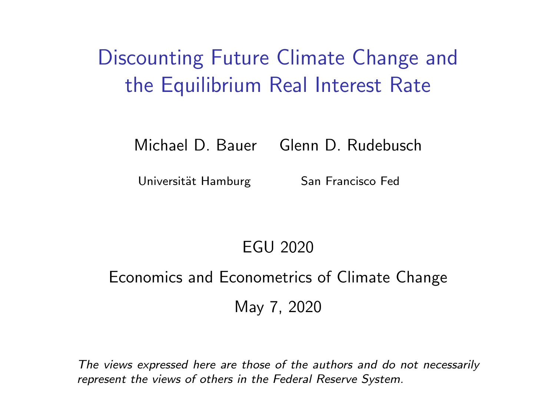Discounting Future Climate Change and the Equilibrium Real Interest Rate

Michael D. Bauer Glenn D. Rudebusch

Universität Hamburg San Francisco Fed

### EGU 2020

### Economics and Econometrics of Climate Change May 7, 2020

The views expressed here are those of the authors and do not necessarily represent the views of others in the Federal Reserve System.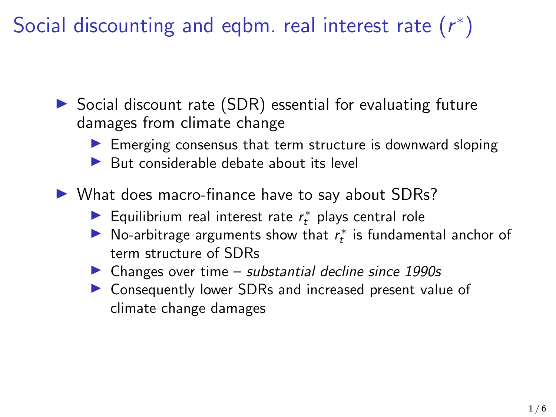Social discounting and eqbm. real interest rate  $(r^*)$ 

 $\triangleright$  Social discount rate (SDR) essential for evaluating future damages from climate change

 $\blacktriangleright$  Emerging consensus that term structure is downward sloping

 $\blacktriangleright$  But considerable debate about its level

 $\triangleright$  What does macro-finance have to say about SDRs?

- ▶ Equilibrium real interest rate  $r_t^*$  plays central role
- ▶ No-arbitrage arguments show that  $r_t^*$  is fundamental anchor of term structure of SDRs
- $\triangleright$  Changes over time substantial decline since 1990s
- ▶ Consequently lower SDRs and increased present value of climate change damages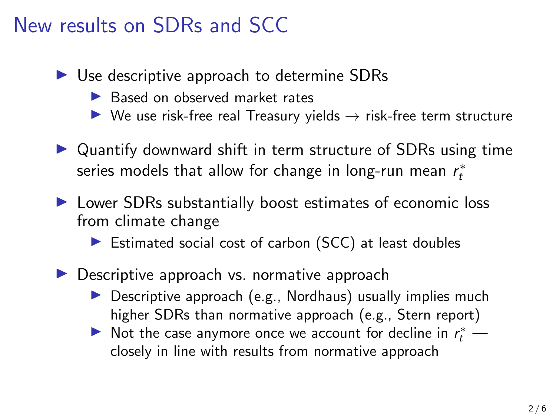# New results on SDRs and SCC

- $\triangleright$  Use descriptive approach to determine SDRs
	- ▶ Based on observed market rates
	- $\triangleright$  We use risk-free real Treasury yields  $\rightarrow$  risk-free term structure
- $\triangleright$  Quantify downward shift in term structure of SDRs using time series models that allow for change in long-run mean  $r_t^*$
- $\blacktriangleright$  Lower SDRs substantially boost estimates of economic loss from climate change
	- $\blacktriangleright$  Estimated social cost of carbon (SCC) at least doubles
- $\triangleright$  Descriptive approach vs. normative approach
	- $\triangleright$  Descriptive approach (e.g., Nordhaus) usually implies much higher SDRs than normative approach (e.g., Stern report)
	- Not the case anymore once we account for decline in  $r_t^*$  closely in line with results from normative approach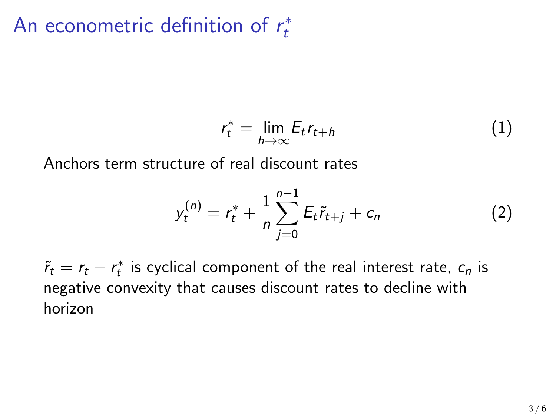#### An econometric definition of  $r_t^*$ t

$$
r_t^* = \lim_{h \to \infty} E_t r_{t+h} \tag{1}
$$

Anchors term structure of real discount rates

$$
y_t^{(n)} = r_t^* + \frac{1}{n} \sum_{j=0}^{n-1} E_t \tilde{r}_{t+j} + c_n \tag{2}
$$

 $\tilde{r}_t = r_t - r_t^*$  is cyclical component of the real interest rate,  $c_n$  is negative convexity that causes discount rates to decline with horizon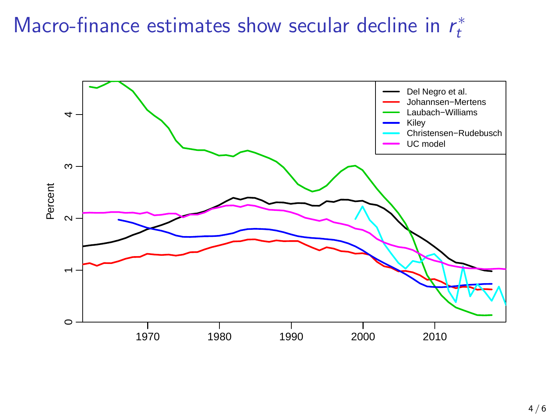#### Macro-finance estimates show secular decline in  $r_t^*$ t

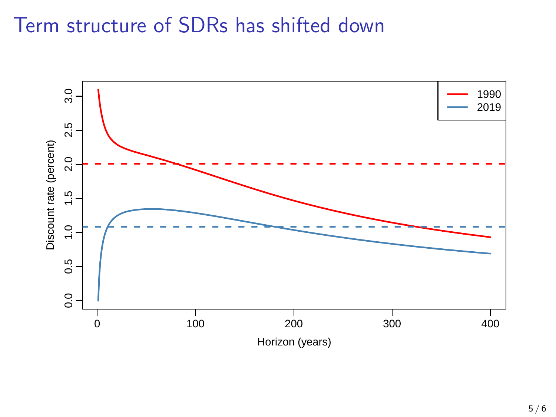## Term structure of SDRs has shifted down